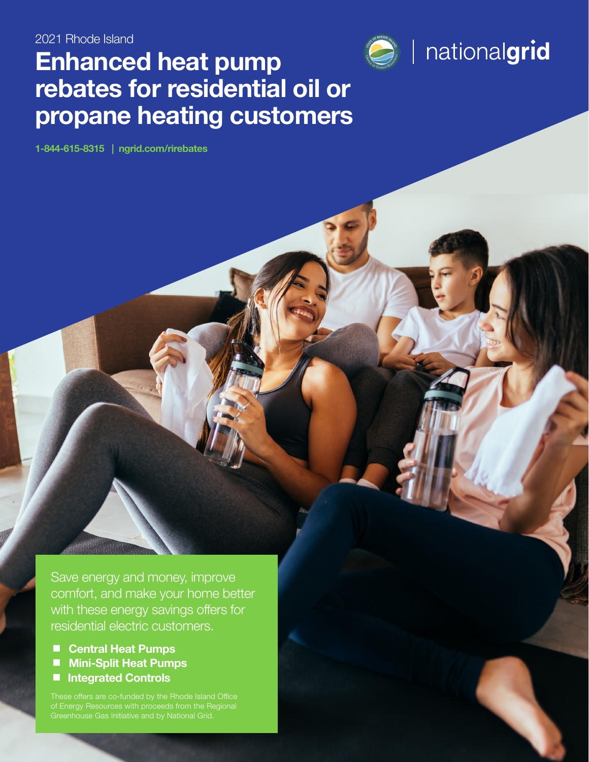# and the propagation of the property of the customers and the customers  $\bigotimes^{\text{cusp}}$  | nationalgrid Enhanced heat pump rebates for residential oil or propane heating customers

1-844-615-8315 | [ngrid.com/rirebates](www.ngrid.com/rirebates)

Save energy and money, improve comfort, and make your home better with these energy savings offers for residential electric customers.

■ Central Heat Pumps

- **Mini-Split Heat Pumps**
- Integrated Controls

Greenhouse Gas Initiative and by National Grid.

1220-NGRID-RI-OER-1992-HA-C REBATE FORM 1-845-615-8315 | ngrid.com/rist.com/rist.com/rist.com/rist.com/rist.com/

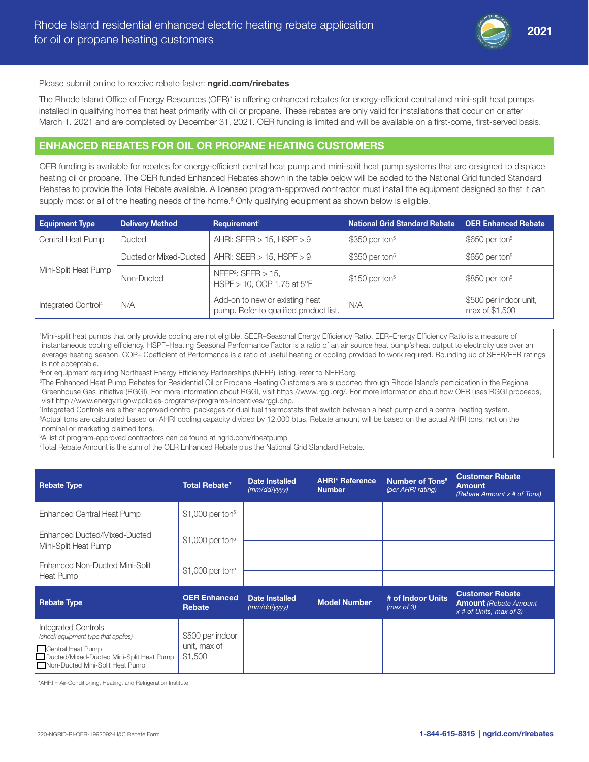

#### Please submit online to receive rebate faster: [ngrid.com/rirebates](www.ngrid.com/rirebates)

The Rhode Island Office of Energy Resources (OER)<sup>3</sup> is offering enhanced rebates for energy-efficient central and mini-split heat pumps installed in qualifying homes that heat primarily with oil or propane. These rebates are only valid for installations that occur on or after March 1. 2021 and are completed by December 31, 2021. OER funding is limited and will be available on a first-come, first-served basis.

# ENHANCED REBATES FOR OIL OR PROPANE HEATING CUSTOMERS

OER funding is available for rebates for energy-efficient central heat pump and mini-split heat pump systems that are designed to displace heating oil or propane. The OER funded Enhanced Rebates shown in the table below will be added to the National Grid funded Standard Rebates to provide the Total Rebate available. A licensed program-approved contractor must install the equipment designed so that it can supply most or all of the heating needs of the home.<sup>6</sup> Only qualifying equipment as shown below is eligible.

| <b>Equipment Type</b>           | <b>Delivery Method</b> | Requirement <sup>1</sup>                                                 | <b>National Grid Standard Rebate</b> | <b>OER Enhanced Rebate</b>               |
|---------------------------------|------------------------|--------------------------------------------------------------------------|--------------------------------------|------------------------------------------|
| Central Heat Pump               | Ducted                 | AHRI: SEER $> 15$ , HSPF $> 9$                                           | $$350$ per ton <sup>5</sup>          | $$650$ per ton <sup>5</sup>              |
|                                 | Ducted or Mixed-Ducted | AHRI: SEER $> 15$ , HSPF $> 9$                                           | $$350$ per ton <sup>5</sup>          | $$650$ per ton <sup>5</sup>              |
| Mini-Split Heat Pump            | Non-Ducted             | NEEP <sup>2</sup> : SEER $> 15$ ,<br>$HSPF > 10$ , COP 1.75 at 5°F       | $$150$ per ton <sup>5</sup>          | $$850$ per ton <sup>5</sup>              |
| Integrated Control <sup>4</sup> | N/A                    | Add-on to new or existing heat<br>pump. Refer to qualified product list. | N/A                                  | \$500 per indoor unit,<br>max of \$1,500 |

1 Mini-split heat pumps that only provide cooling are not eligible. SEER–Seasonal Energy Efficiency Ratio. EER–Energy Efficiency Ratio is a measure of instantaneous cooling efficiency. HSPF–Heating Seasonal Performance Factor is a ratio of an air source heat pump's heat output to electricity use over an average heating season. COP– Coefficient of Performance is a ratio of useful heating or cooling provided to work required. Rounding up of SEER/EER ratings is not acceptable.

2 For equipment requiring Northeast Energy Efficiency Partnerships (NEEP) listing, refer to [NEEP.org.](www.NEEP.org.)

3 The Enhanced Heat Pump Rebates for Residential Oil or Propane Heating Customers are supported through Rhode Island's participation in the Regional Greenhouse Gas Initiative (RGGI). For more information about RGGI, visit https://www.rggi.org/. For more information about how OER uses RGGI proceeds, visit [http://www.energy.ri.gov/policies-programs/programs-incentives/rggi.php.](http://www.energy.ri.gov/policies-programs/programs-incentives/rggi.php)

4 Integrated Controls are either approved control packages or dual fuel thermostats that switch between a heat pump and a central heating system. 5 Actual tons are calculated based on AHRI cooling capacity divided by 12,000 btus. Rebate amount will be based on the actual AHRI tons, not on the nominal or marketing claimed tons.

6 A list of program-approved contractors can be found at [ngrid.com/riheatpump](www.ngrid.com/riheatpump)

7 Total Rebate Amount is the sum of the OER Enhanced Rebate plus the National Grid Standard Rebate.

| <b>Rebate Type</b>                                                                                                                                                    | Total Rebate <sup>7</sup>                   | <b>Date Installed</b><br>(mm/dd/yyyy) | <b>AHRI* Reference</b><br><b>Number</b> | <b>Number of Tons<sup>5</sup></b><br>(per AHRI rating) | <b>Customer Rebate</b><br><b>Amount</b><br>(Rebate Amount x # of Tons)              |
|-----------------------------------------------------------------------------------------------------------------------------------------------------------------------|---------------------------------------------|---------------------------------------|-----------------------------------------|--------------------------------------------------------|-------------------------------------------------------------------------------------|
| Enhanced Central Heat Pump                                                                                                                                            | \$1,000 per ton <sup>5</sup>                |                                       |                                         |                                                        |                                                                                     |
| Enhanced Ducted/Mixed-Ducted<br>Mini-Split Heat Pump                                                                                                                  | $$1,000$ per ton <sup>5</sup>               |                                       |                                         |                                                        |                                                                                     |
| Enhanced Non-Ducted Mini-Split<br>Heat Pump                                                                                                                           | $$1,000$ per ton <sup>5</sup>               |                                       |                                         |                                                        |                                                                                     |
| <b>Rebate Type</b>                                                                                                                                                    | <b>OER Enhanced</b><br>Rebate               | Date Installed<br>(mm/dd/yyyy)        | <b>Model Number</b>                     | # of Indoor Units<br>(max of 3)                        | <b>Customer Rebate</b><br><b>Amount</b> (Rebate Amount<br>$x$ # of Units, max of 3) |
| <b>Integrated Controls</b><br>(check equipment type that applies)<br>Central Heat Pump<br>Ducted/Mixed-Ducted Mini-Split Heat Pump<br>Non-Ducted Mini-Split Heat Pump | \$500 per indoor<br>unit, max of<br>\$1,500 |                                       |                                         |                                                        |                                                                                     |

\*AHRI = Air-Conditioning, Heating, and Refrigeration Institute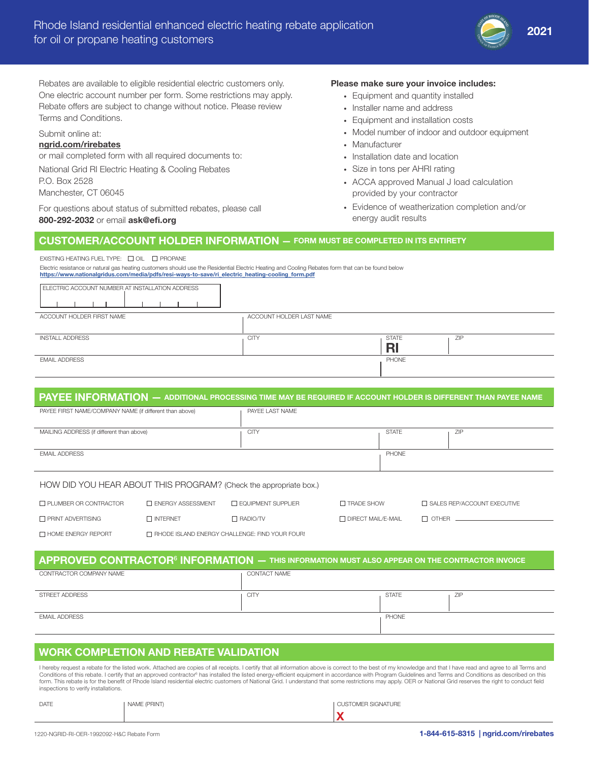

Rebates are available to eligible residential electric customers only. One electric account number per form. Some restrictions may apply. Rebate offers are subject to change without notice. Please review Terms and Conditions.

#### Submit online at: [ngrid.com/rirebates](www.ngrid.com/rirebates)

or mail completed form with all required documents to: National Grid RI Electric Heating & Cooling Rebates P.O. Box 2528

Manchester, CT 06045

For questions about status of submitted rebates, please call 800-292-2032 or email ask@efi.org

#### Please make sure your invoice includes:

- Equipment and quantity installed
- Installer name and address
- Equipment and installation costs
- Model number of indoor and outdoor equipment
- Manufacturer
- Installation date and location
- Size in tons per AHRI rating
- ACCA approved Manual J load calculation provided by your contractor
- Evidence of weatherization completion and/or energy audit results

# CUSTOMER/ACCOUNT HOLDER INFORMATION — FORM MUST BE COMPLETED IN ITS ENTIRETY

#### EXISTING HEATING FUEL TYPE:  $\Box$  OIL  $\Box$  PROPANE

Electric resistance or natural gas heating customers should use the Residential Electric Heating and Cooling Rebates form that can be found below [https://www.nationalgridus.com/media/pdfs/resi-ways-to-save/ri\\_electric\\_heating-cooling\\_form.pdf](https://www.nationalgridus.com/media/pdfs/resi-ways-to-save/ri_electric_heating-cooling_form.pdf)

| ELECTRIC ACCOUNT NUMBER AT INSTALLATION ADDRESS |                          |              |     |
|-------------------------------------------------|--------------------------|--------------|-----|
| ACCOUNT HOLDER FIRST NAME                       | ACCOUNT HOLDER LAST NAME |              |     |
|                                                 |                          |              |     |
| <b>INSTALL ADDRESS</b>                          | <b>CITY</b>              | <b>STATE</b> | ZIP |
|                                                 |                          |              |     |
| <b>EMAIL ADDRESS</b>                            |                          | PHONE        |     |
|                                                 |                          |              |     |

# PAYEE INFORMATION — ADDITIONAL PROCESSING TIME MAY BE REQUIRED IF ACCOUNT HOLDER IS DIFFERENT THAN PAYEE NAME

| PAYEE FIRST NAME/COMPANY NAME (if different than above) | PAYEE LAST NAME |              |     |
|---------------------------------------------------------|-----------------|--------------|-----|
|                                                         |                 |              |     |
| MAILING ADDRESS (if different than above)               | <b>CITY</b>     | <b>STATE</b> | ZIP |
|                                                         |                 |              |     |
| <b>EMAIL ADDRESS</b>                                    |                 | PHONE        |     |
|                                                         |                 |              |     |
|                                                         |                 |              |     |

#### HOW DID YOU HEAR ABOUT THIS PROGRAM? (Check the appropriate box.)

| □ PLUMBER OR CONTRACTOR   | <b>THE ENERGY ASSESSMENT</b>                          | <b>THE EQUIPMENT SUPPLIER</b> | <b>T TRADE SHOW</b>  | <b>T SALES REP/ACCOUNT EXECUTIVE</b> |
|---------------------------|-------------------------------------------------------|-------------------------------|----------------------|--------------------------------------|
| □ PRINT ADVERTISING       | $\Box$ INTERNET                                       | $\Box$ RADIO/TV               | □ DIRECT MAIL/E-MAIL | $\Box$ OTHER                         |
| $\Box$ HOME ENERGY REPORT | $\Box$ RHODE ISLAND ENERGY CHALLENGE: FIND YOUR FOUR! |                               |                      |                                      |

### ${\sf APPROVED}$   ${\sf CONTRACTOR}^6$   ${\sf INFORMATION}$  — this information must also appear on the contractor invoice CONTRACTOR COMPANY NAME CONTACT NAME

| STREET ADDRESS       | CITY | <b>STATE</b> | ZIP |
|----------------------|------|--------------|-----|
| <b>EMAIL ADDRESS</b> |      | PHONE        |     |
|                      |      |              |     |

# WORK COMPLETION AND REBATE VALIDATION

I hereby request a rebate for the listed work. Attached are copies of all receipts. I certify that all information above is correct to the best of my knowledge and that I have read and agree to all Terms and Conditions of this rebate. I certify that an approved contractor<sup>s</sup> has installed the listed energy-efficient equipment in accordance with Program Guidelines and Terms and Conditions as described on this<br>form. This rebate inspections to verify installations.

| DATE | NAME (PRINT) | <b>CUSTOMER SIGNATURE</b> |
|------|--------------|---------------------------|
|      |              |                           |